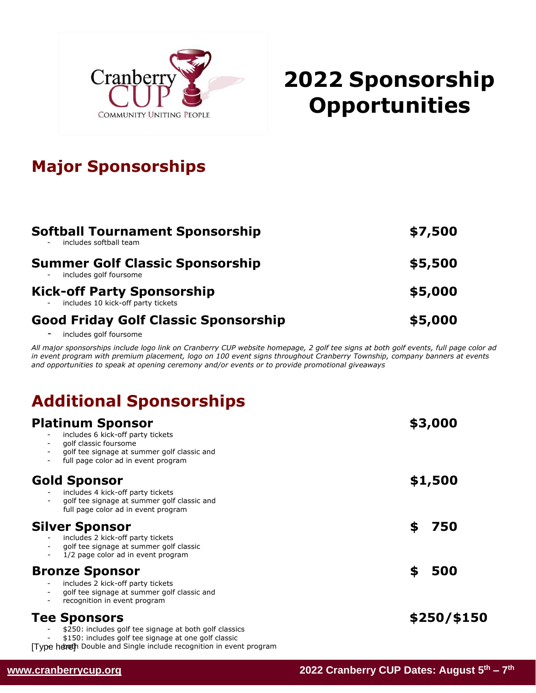

# **2022 Sponsorship Opportunities**

## **Major Sponsorships**

| <b>Softball Tournament Sponsorship</b><br>includes softball team          | \$7,500 |
|---------------------------------------------------------------------------|---------|
| <b>Summer Golf Classic Sponsorship</b><br>includes golf foursome          | \$5,500 |
| <b>Kick-off Party Sponsorship</b><br>- includes 10 kick-off party tickets | \$5,000 |
| <b>Good Friday Golf Classic Sponsorship</b>                               | \$5,000 |

- includes golf foursome

All major sponsorships include logo link on Cranberry CUP website homepage, 2 golf tee signs at both golf events, full page color ad *in event program with premium placement, logo on 100 event signs throughout Cranberry Township, company banners at events and opportunities to speak at opening ceremony and/or events or to provide promotional giveaways*

## **Additional Sponsorships**

| <b>Platinum Sponsor</b><br>includes 6 kick-off party tickets<br>golf classic foursome<br>golf tee signage at summer golf classic and<br>full page color ad in event program                                 | \$3,000     |
|-------------------------------------------------------------------------------------------------------------------------------------------------------------------------------------------------------------|-------------|
| <b>Gold Sponsor</b><br>includes 4 kick-off party tickets<br>golf tee signage at summer golf classic and<br>full page color ad in event program                                                              | \$1,500     |
| <b>Silver Sponsor</b><br>includes 2 kick-off party tickets<br>golf tee signage at summer golf classic<br>1/2 page color ad in event program                                                                 | 750<br>S    |
| <b>Bronze Sponsor</b><br>includes 2 kick-off party tickets<br>golf tee signage at summer golf classic and<br>recognition in event program                                                                   | 500<br>\$   |
| <b>Tee Sponsors</b><br>\$250: includes golf tee signage at both golf classics<br>\$150: includes golf tee signage at one golf classic<br>Type hereth Double and Single include recognition in event program | \$250/\$150 |